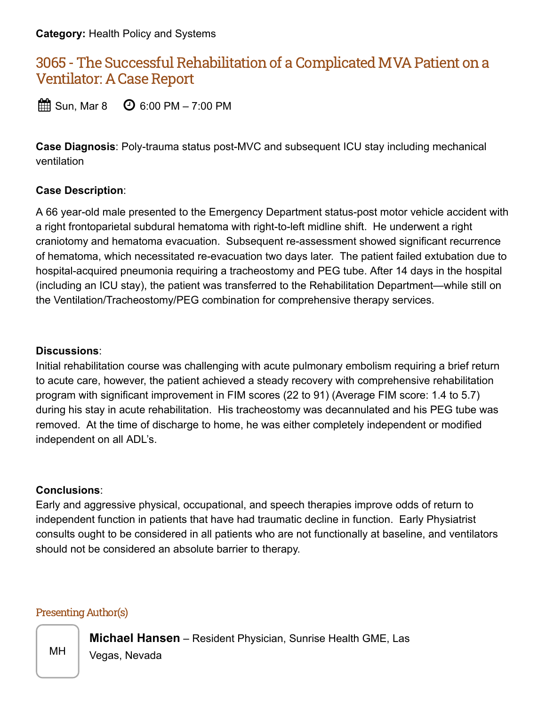**Category:** Health Policy and Systems

# 3065 - The Successful Rehabilitation of a Complicated MVA Patient on a Ventilator: A Case Report

 $\mathbb{H}$  Sun, Mar 8  $\mathbb{O}$  6:00 PM – 7:00 PM

**Case Diagnosis**: Poly-trauma status post-MVC and subsequent ICU stay including mechanical ventilation

#### **Case Description**:

A 66 year-old male presented to the Emergency Department status-post motor vehicle accident with a right frontoparietal subdural hematoma with right-to-left midline shift. He underwent a right craniotomy and hematoma evacuation. Subsequent re-assessment showed significant recurrence of hematoma, which necessitated re-evacuation two days later. The patient failed extubation due to hospital-acquired pneumonia requiring a tracheostomy and PEG tube. After 14 days in the hospital (including an ICU stay), the patient was transferred to the Rehabilitation Department—while still on the Ventilation/Tracheostomy/PEG combination for comprehensive therapy services.

#### **Discussions**:

Initial rehabilitation course was challenging with acute pulmonary embolism requiring a brief return to acute care, however, the patient achieved a steady recovery with comprehensive rehabilitation program with significant improvement in FIM scores (22 to 91) (Average FIM score: 1.4 to 5.7) during his stay in acute rehabilitation. His tracheostomy was decannulated and his PEG tube was removed. At the time of discharge to home, he was either completely independent or modified independent on all ADL's.

#### **Conclusions**:

Early and aggressive physical, occupational, and speech therapies improve odds of return to independent function in patients that have had traumatic decline in function. Early Physiatrist consults ought to be considered in all patients who are not functionally at baseline, and ventilators should not be considered an absolute barrier to therapy.

#### Presenting Author(s)

**Michael Hansen** – Resident Physician, Sunrise Health GME, Las

MH | Vegas, Nevada